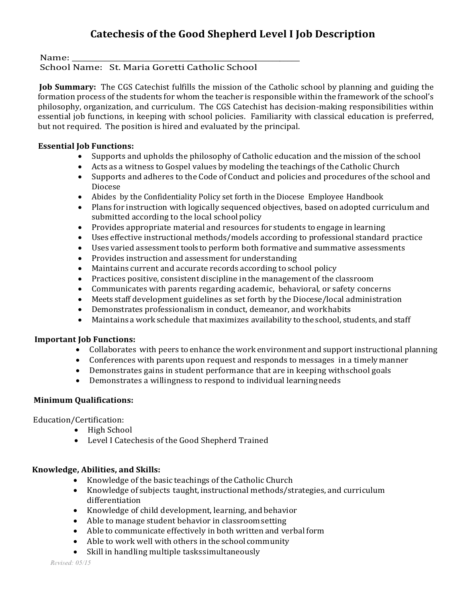### Name: \_\_\_\_\_\_\_\_\_\_\_\_\_\_\_\_\_\_\_\_\_\_\_\_\_\_\_\_\_\_\_\_\_\_\_\_\_\_\_\_\_\_\_\_\_\_\_\_\_\_\_\_\_\_\_\_\_ School Name: St. Maria Goretti Catholic School

**Job Summary:** The CGS Catechist fulfills the mission of the Catholic school by planning and guiding the formation process of the students for whom the teacher is responsible within the framework of the school's philosophy, organization, and curriculum. The CGS Catechist has decision-making responsibilities within essential job functions, in keeping with school policies. Familiarity with classical education is preferred, but not required. The position is hired and evaluated by the principal.

### **Essential Job Functions:**

- Supports and upholds the philosophy of Catholic education and the mission of the school<br>• Acts as a witness to Gospel values by modeling the teachings of the Catholic Church
- Acts as a witness to Gospel values by modeling the teachings of the Catholic Church<br>• Supports and adheres to the Code of Conduct and policies and procedures of the sch
- Supports and adheres to the Code of Conduct and policies and procedures of the school and Diocese
- Abides by the Confidentiality Policy set forth in the Diocese Employee Handbook
- Plans for instruction with logically sequenced objectives, based on adopted curriculum and submitted according to the local school policy
- Provides appropriate material and resources for students to engage in learning
- Uses effective instructional methods/models according to professional standard practice
- Uses varied assessment tools to perform both formative and summative assessments
- Provides instruction and assessment forunderstanding
- Maintains current and accurate records according to school policy
- Practices positive, consistent discipline in the management of the classroom
- Communicates with parents regarding academic, behavioral, or safety concerns
- Meets staff development guidelines as set forth by the Diocese/local administration
- Demonstrates professionalism in conduct, demeanor, and workhabits
- Maintains a work schedule that maximizes availability to theschool, students, and staff

# **Important Job Functions:**

- Collaborates with peers toenhance the work environment and support instructional planning
- Conferences with parents upon request and responds to messages in a timely manner
- Demonstrates gains in student performance that are in keeping withschool goals<br>• Demonstrates a willingness to respond to individual learning needs
- Demonstrates a willingness to respond to individual learningneeds

# **Minimum Qualifications:**

Education/Certification:

- High School
- Level I Catechesis of the Good Shepherd Trained

# **Knowledge, Abilities, and Skills:**

- Knowledge of the basic teachings of the Catholic Church
- Knowledge of subjects taught, instructional methods/strategies, and curriculum differentiation
- Knowledge of child development, learning, and behavior
- Able to manage student behavior in classroomsetting<br>• Able to communicate effectively in both written and ve
- Able to communicate effectively in both written and verbal form
- Able to work well with others in the school community<br>• Skill in handling multiple tasks simultaneously
- Skill in handling multiple taskssimultaneously